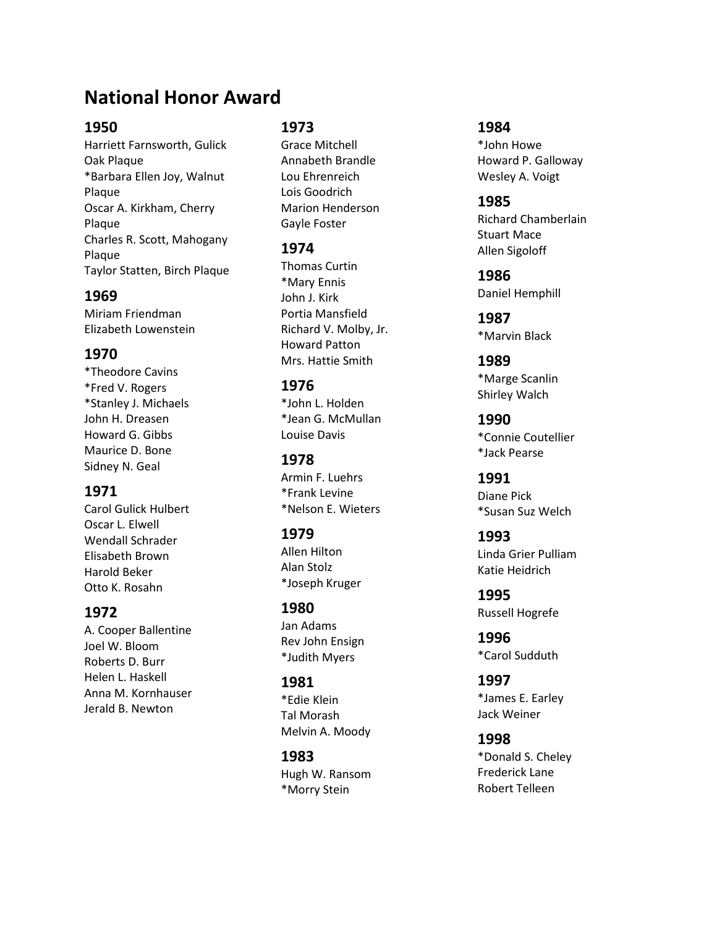# **National Honor Award**

## **1950**

Harriett Farnsworth, Gulick Oak Plaque \*Barbara Ellen Joy, Walnut Plaque Oscar A. Kirkham, Cherry Plaque Charles R. Scott, Mahogany Plaque Taylor Statten, Birch Plaque

## **1969**

Miriam Friendman Elizabeth Lowenstein

## **1970**

\*Theodore Cavins \*Fred V. Rogers \*Stanley J. Michaels John H. Dreasen Howard G. Gibbs Maurice D. Bone Sidney N. Geal

## **1971**

Carol Gulick Hulbert Oscar L. Elwell Wendall Schrader Elisabeth Brown Harold Beker Otto K. Rosahn

## **1972**

A. Cooper Ballentine Joel W. Bloom Roberts D. Burr Helen L. Haskell Anna M. Kornhauser Jerald B. Newton

## **1973**

Grace Mitchell Annabeth Brandle Lou Ehrenreich Lois Goodrich Marion Henderson Gayle Foster

## **1974**

Thomas Curtin \*Mary Ennis John J. Kirk Portia Mansfield Richard V. Molby, Jr. Howard Patton Mrs. Hattie Smith

# **1976**

\*John L. Holden \*Jean G. McMullan Louise Davis

#### **1978** Armin F. Luehrs \*Frank Levine \*Nelson E. Wieters

## **1979**

Allen Hilton Alan Stolz \*Joseph Kruger

## **1980**

Jan Adams Rev John Ensign \*Judith Myers

## **1981**

\*Edie Klein Tal Morash Melvin A. Moody

# **1983**

Hugh W. Ransom \*Morry Stein

## **1984**

\*John Howe Howard P. Galloway Wesley A. Voigt

#### **1985** Richard Chamberlain Stuart Mace Allen Sigoloff

**1986** Daniel Hemphill

**1987** \*Marvin Black

#### **1989** \*Marge Scanlin Shirley Walch

**1990** \*Connie Coutellier \*Jack Pearse

#### **1991** Diane Pick \*Susan Suz Welch

**1993** Linda Grier Pulliam Katie Heidrich

**1995** Russell Hogrefe

**1996** \*Carol Sudduth

#### **1997** \*James E. Earley Jack Weiner

## **1998** \*Donald S. Cheley Frederick Lane Robert Telleen